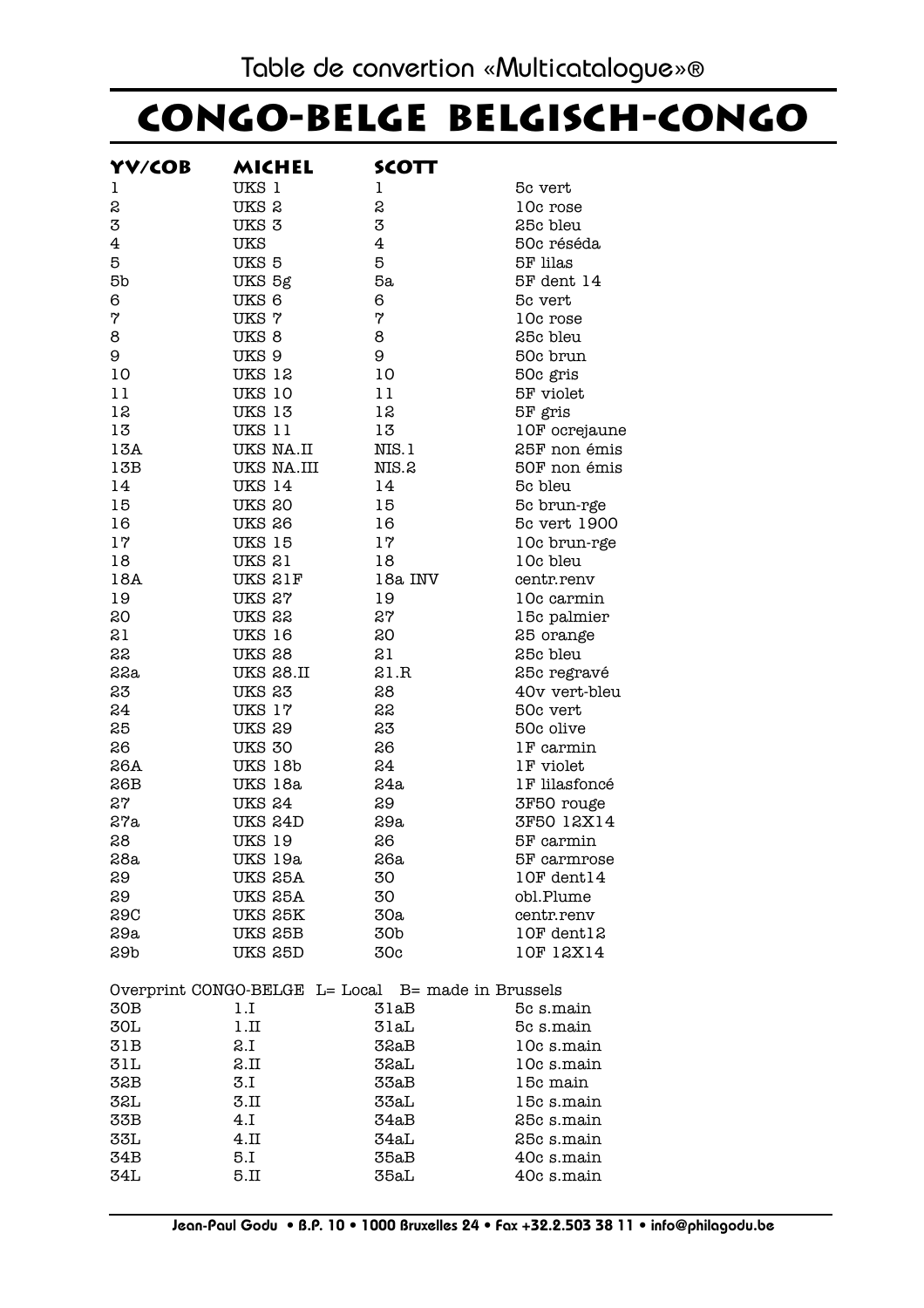## **Congo-Belge Belgisch-Congo**

| YV/COB         | MICHEL                                             | <b>SCOTT</b>   |               |
|----------------|----------------------------------------------------|----------------|---------------|
| 1              | UKS 1                                              | ı              | 5c vert       |
| S              | UKS <sub>2</sub>                                   | S              | 10c rose      |
| 3              | UKS <sub>3</sub>                                   | 3              | 25c bleu      |
| $\overline{4}$ | <b>UKS</b>                                         | $\overline{4}$ | 50c réséda    |
| 5              | UKS 5                                              | 5              | 5F lilas      |
| 5b             | UKS 5g                                             | 5a             | 5F dent 14    |
| 6              | UKS 6                                              | 6              | 5c vert       |
| 7              | <b>UKS7</b>                                        | 7              | 10c rose      |
| 8              | UKS <sub>8</sub>                                   | 8              | 25c bleu      |
| 9              | UKS 9                                              | 9              | 50c brun      |
| 10             | <b>UKS 12</b>                                      | 10             | 50c gris      |
| 11             | <b>UKS 10</b>                                      | 11             | 5F violet     |
| 12             | <b>UKS 13</b>                                      | 12             | 5F gris       |
| 13             | UKS 11                                             | 13             | 10F ocrejaune |
| 13A            | UKS NA.II                                          | NIS.1          | 25F non émis  |
| 13B            | UKS NA.III                                         | NIS.2          | 50F non émis  |
| 14             | <b>UKS 14</b>                                      | 14             | 5c bleu       |
| 15             | <b>UKS 20</b>                                      | 15             | 5c brun-rge   |
| 16             | <b>UKS 26</b>                                      | 16             | 5c vert 1900  |
| 17             | <b>UKS 15</b>                                      | 17             | 10c brun-rge  |
| 18             | <b>UKS 21</b>                                      | 18             | 10c bleu      |
| 18A            | UKS 21F                                            | 18a INV        | centr.renv    |
| 19             | UKS 27                                             | 19             | 10c carmin    |
| 20             | UKS 22                                             | 27             | 15c palmier   |
| 21             | <b>UKS 16</b>                                      | 20             | 25 orange     |
| 22             | <b>UKS 28</b>                                      | 21             | 25c bleu      |
| 22a            | <b>UKS 28.II</b>                                   | 21.R           | 25c regravé   |
| 23             | <b>UKS 23</b>                                      | 28             | 40v vert-bleu |
| 24             | UKS 17                                             | 22             | 50c vert      |
| 25             | <b>UKS 29</b>                                      | 23             | 50c olive     |
| 26             | <b>UKS 30</b>                                      | 26             | 1F carmin     |
| 26A            | UKS 18b                                            | 24             | 1F violet     |
| 26B            | UKS 18a                                            | 24a            | 1F lilasfoncé |
| 27             | <b>UKS 24</b>                                      | 29             | 3F50 rouge    |
| 27a            | UKS 24D                                            | 29a            | 3F50 12X14    |
| 28             | <b>UKS 19</b>                                      | 26             | 5F carmin     |
| 28a            | UKS 19a                                            | 26a            | 5F carmrose   |
| 29             | UKS 25A                                            | 30             | 10F dent14    |
| 29             | UKS 25A                                            | 30             | obl.Plume     |
| 29C            | UKS 25K                                            | 30a            | centr.renv    |
| 29a            | UKS 25B                                            | 30b            | 10F dent12    |
| 29b            | UKS 25D                                            | 30c            | 10F 12X14     |
|                | Overprint CONGO-BELGE L= Local B= made in Brussels |                |               |
| 30B            | 1.I                                                | 31aB           | 5c s.main     |
| 30L            | 1.II                                               | 31aL           | 5c s.main     |
| 31B            | 2.I                                                | 32aB           | 10c s.main    |
| 31L            | 2.II                                               | 32aL           | 10c s.main    |
| 32B            | 3.I                                                | 33aB           | 15c main      |
| 32L            | 3.II                                               | 33aL           | 15c s.main    |
| 33B            | 4.I                                                | 34aB           | 25c s.main    |
| 33L            | 4.II                                               | 34aL           | 25c s.main    |
| 34B            | 5.I                                                | 35aB           | 40c s.main    |
| 34L            | 5.II                                               | 35aL           | 40c s.main    |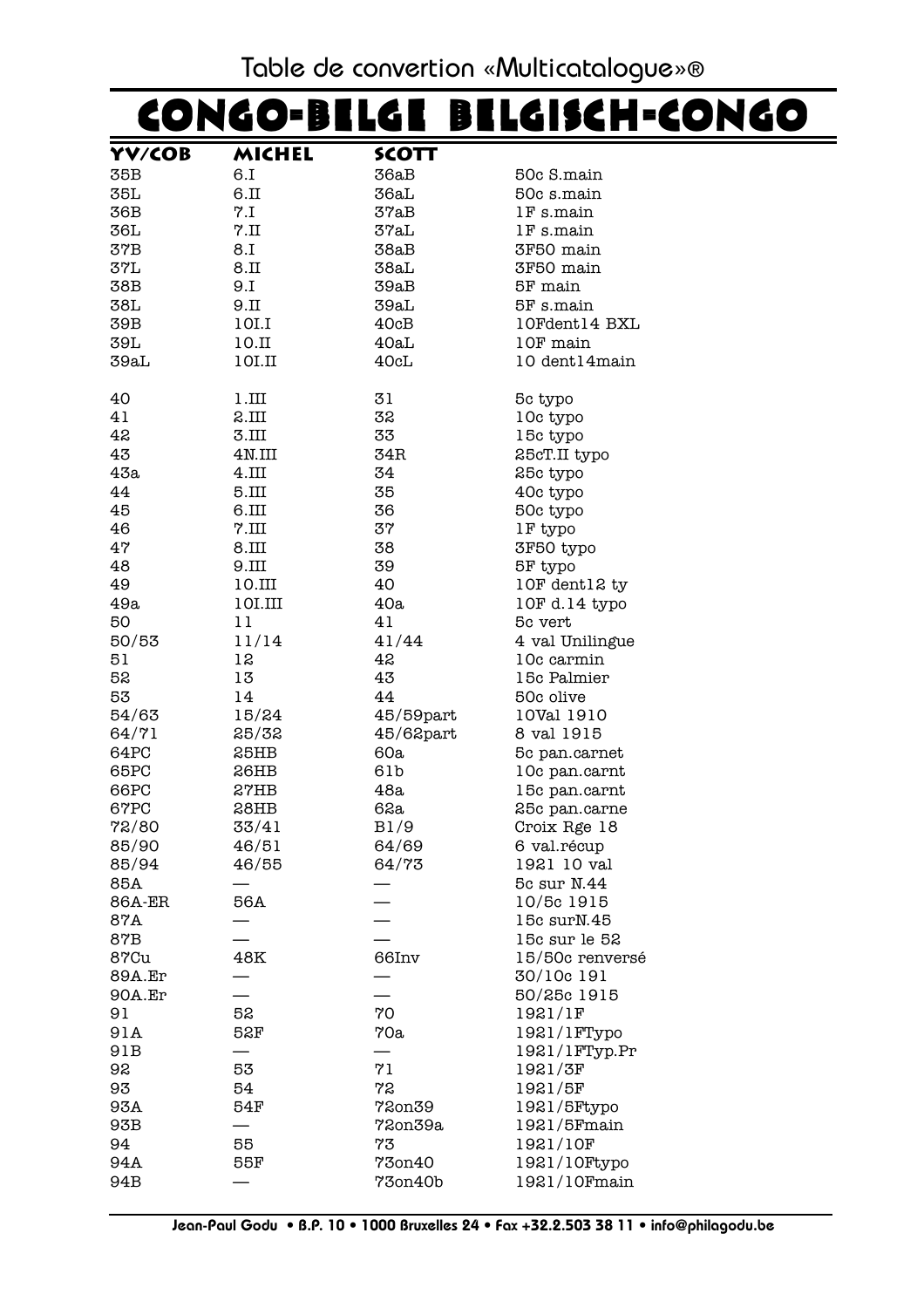#### Table de convertion «Multicatalogue»®

# CONGO-BELGE BELGISCH-CONGO

| YV/COB        | MICHEL            | SCOTT        |                 |
|---------------|-------------------|--------------|-----------------|
| 35B           | 6.I               | 36aB         | 50c S.main      |
| 35L           | 6.II              | 36aL         | 50c s.main      |
| 36B           | 7.1               | 37aB         | 1F s.main       |
| 36L           | $7.\mathrm{II}$   | 37aL         | IF s.main       |
| 37B           | 1.8               | 38aB         | 3F50 main       |
| 37L           | 8.II              | 38aL         | 3F50 main       |
| 38B           | 9.I               | 39aB         | 5F main         |
| 38L           | 9.II              | 39aL         | 5F s.main       |
| 39B           | 10I.I             |              | 10Fdent14 BXL   |
|               |                   | 40cB         |                 |
| 39L           | 10.I              | 40aL         | 10F main        |
| 39aL          | 10I.II            | 40cL         | 10 dent14main   |
| 40            | 1.III             | 31           | 5c typo         |
| 41            | 2.III             | 32           | 10c typo        |
| 42            | 3.III             | 33           | 15c typo        |
| 43            | 4N.III            | 34R          | 25cT.II typo    |
| 43a           | 4.III             | 34           | 25c typo        |
| 44            | 5.III             | 35           | 40c typo        |
| 45            | 6.III             | 36           | 50c typo        |
| 46            | $7. \mathrm{III}$ | 37           | 1F typo         |
| 47            | 8.III             | 38           | 3F50 typo       |
| 48            | 9.III             | 39           | 5F typo         |
| 49            | 10.III            | 40           | 10F dent12 ty   |
| 49a           | 10I.III           | 40a          | 10F d.14 typo   |
| 50            | 11                | 41           |                 |
|               |                   |              | 5c vert         |
| 50/53         | 11/14             | 41/44        | 4 val Unilingue |
| 51            | 12                | 42           | 10c carmin      |
| 52            | 13                | 43           | 15c Palmier     |
| 53            | 14                | 44           | 50c olive       |
| 54/63         | 15/24             | 45/59part    | 10Val 1910      |
| 64/71         | 25/32             | $45/62$ part | 8 val 1915      |
| 64PC          | 25HB              | 60a          | 5c pan.carnet   |
| 65PC          | 26HB              | 61b          | 10c pan.carnt   |
| 66PC          | 27HB              | 48a          | 15c pan.carnt   |
| 67PC          | 28HB              | 62a          | 25c pan.carne   |
| 72/80         | 33/41             | B1/9         | Croix Rge 18    |
| 85/90         | 46/51             | 64/69        | 6 val.récup     |
| 85/94         | 46/55             | 64/73        | 1921 10 val     |
| 85A           |                   |              | 5c sur N.44     |
| <b>86A-ER</b> | 56A               |              | 10/5c 1915      |
| 87A           |                   |              | 15c surN.45     |
| 87B           |                   |              | 15c sur le 52   |
| 87Cu          | 48K               | 66Inv        | 15/50c renversé |
| <b>89A.Er</b> |                   |              | 30/10c 191      |
| 90A.Er        |                   |              |                 |
|               |                   |              | 50/25c 1915     |
| 91            | 52                | 70           | 1921/1F         |
| 91A           | 52F               | 70a          | 1921/1FTypo     |
| 91B           |                   |              | 1921/1FTyp.Pr   |
| 92            | 53                | 71           | 1921/3F         |
| 93            | 54                | 72           | 1921/5F         |
| 93A           | 54F               | 72on39       | 1921/5Ftypo     |
| 93B           |                   | 72on39a      | 1921/5Fmain     |
| 94            | 55                | 73           | 1921/10F        |
| 94A           | 55F               | 73on40       | 1921/10Ftypo    |
| 94B           |                   | 73on40b      | 1921/10Fmain    |
|               |                   |              |                 |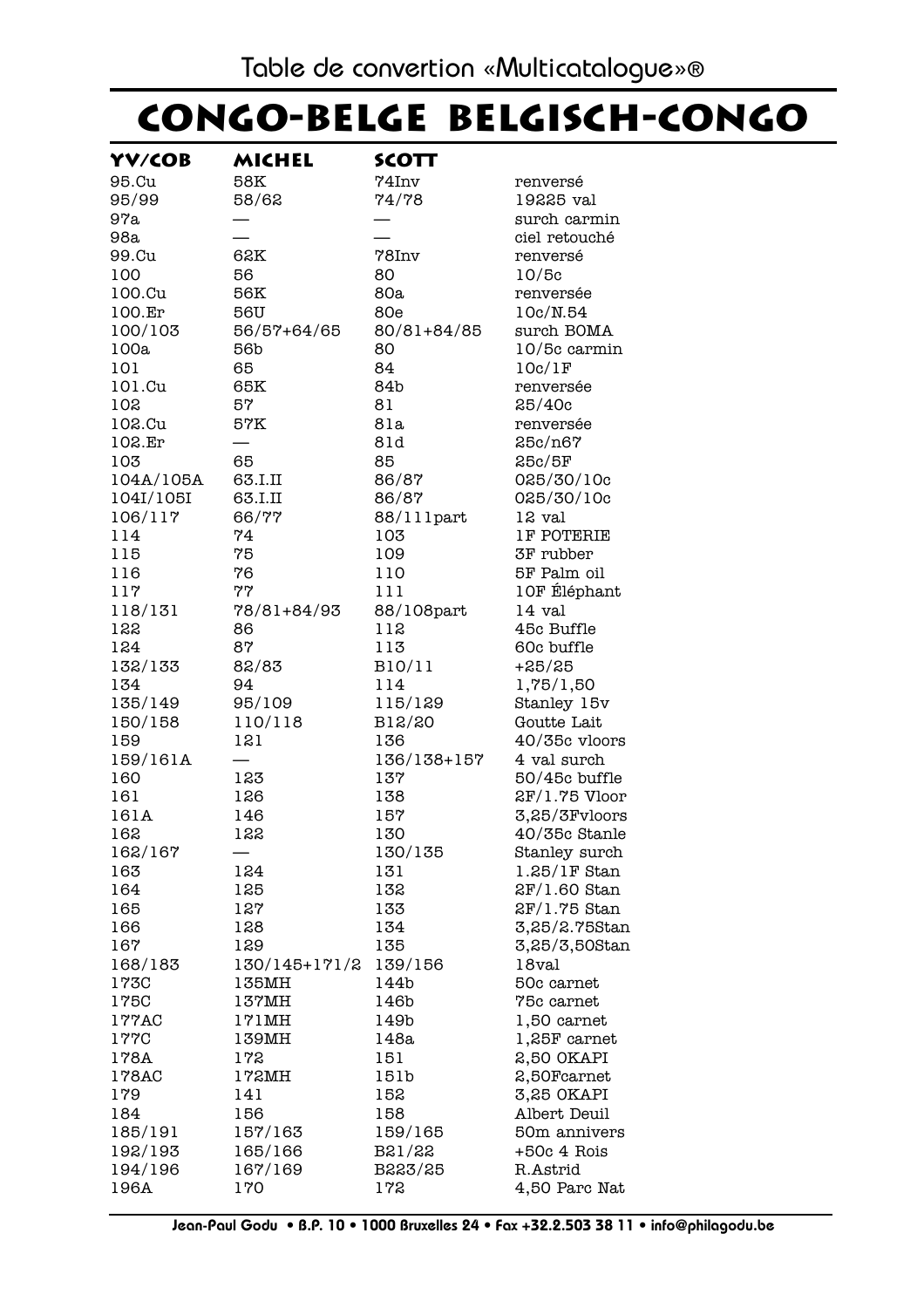## CONGO-BELGE BELGISCH-CONGO

| YV/COB             | MICHEL             | SCOTT             |                                         |
|--------------------|--------------------|-------------------|-----------------------------------------|
| 95.Cu              | 58K                | $74$ Inv          | renversé                                |
| 95/99              | 58/62              | 74/78             | 19225 val                               |
| 97a                |                    |                   | surch carmin                            |
| 98a                |                    |                   | ciel retouché                           |
| 99.Cu              | 62K                | $78$ Inv          | renversé                                |
| 100                | 56                 | 80                | 10/5c                                   |
| 100.Cu             | 56K                | 80a               | renversée                               |
| 100.Er             | 56U                | 80e               | 10c/N.54                                |
| 100/103            | 56/57+64/65        | 80/81+84/85       | surch BOMA                              |
| 100a               | 56b                | 80                | 10/5c carmin                            |
| 101                | 65                 | 84                | 10c/1F                                  |
| 101.Cu             | 65K                | 84b               | renversée                               |
| 102                | 57                 | 81                | 25/40c                                  |
| 102.Cu             | 57K                | 81a               | renversée                               |
| 102.Er             |                    | 81d               | 25c/n67                                 |
| 103                | 65                 | 85                | 25c/5F                                  |
| 104A/105A          | 63.I.II            | 86/87             | 025/30/10c                              |
| 104I/105I          | 63.I.II            | 86/87             | 025/30/10c                              |
| 106/117            | 66/77              | 88/111part        | 12 val                                  |
| 114                | 74                 | 103               | <b>1F POTERIE</b>                       |
| 115                | 75                 | 109               | <b>3F</b> rubber                        |
| 116                | 76                 | 110               | 5F Palm oil                             |
| 117                | 77                 | 111               | 10F Éléphant                            |
| 118/131            | 78/81+84/93        | 88/108part        | 14 val                                  |
| 122                | 86                 | 112               | 45c Buffle                              |
| 124                | 87                 | 113               | 60c buffle                              |
| 132/133            | 82/83              | B10/11            | $+25/25$                                |
| 134                | 94                 | 114               | 1,75/1,50                               |
| 135/149            | 95/109             | 115/129           | Stanley 15v                             |
| 150/158            | 110/118            | B12/20            | Goutte Lait                             |
| 159                | 121                | 136               | 40/35c vloors                           |
| 159/161A           |                    | 136/138+157       | 4 val surch                             |
| 160                | 123                | 137               | 50/45c buffle                           |
| 161                | 126                | 138               | 2F/1.75 Vloor                           |
| 161A               | 146                | 157               | 3,25/3Fvloors                           |
| 162                | 122                | 130               | 40/35c Stanle                           |
| 162/167            |                    | 130/135           | Stanley surch                           |
| 163                | 124                | 131               | $1.25/1F$ Stan                          |
| 164                | 125                | 132               | $2F/1.60$ Stan                          |
| 165                | 127                | 133               | 2F/1.75 Stan                            |
| 166                | 128                | 134               | 3,25/2.75Stan                           |
| 167                | 129                | 135               | 3,25/3,50Stan                           |
| 168/183            | 130/145+171/2      | 139/156           | 18val                                   |
| 173C               | 135MH              | 144b              | 50c carnet                              |
| 175C               | 137MH              | 146b              | 75c carnet                              |
| 177AC              | 171MH              | 149b              | 1,50 carnet                             |
| 177C               | 139MH              | 148a              | 1,25F carnet                            |
| 178A               | 172                | 151               | 2,50 OKAPI                              |
| 178AC              | 172MH              | 151b              | 2,50Fcarnet                             |
| 179                | 141                | 152               | 3,25 OKAPI                              |
| 184                | 156                | 158               | Albert Deuil                            |
| 185/191<br>192/193 | 157/163<br>165/166 | 159/165<br>B21/22 | 50 <sub>m</sub> annivers<br>+50c 4 Rois |
| 194/196            | 167/169            | B223/25           | R.Astrid                                |
| 196A               | 170                | 172               | 4,50 Parc Nat                           |
|                    |                    |                   |                                         |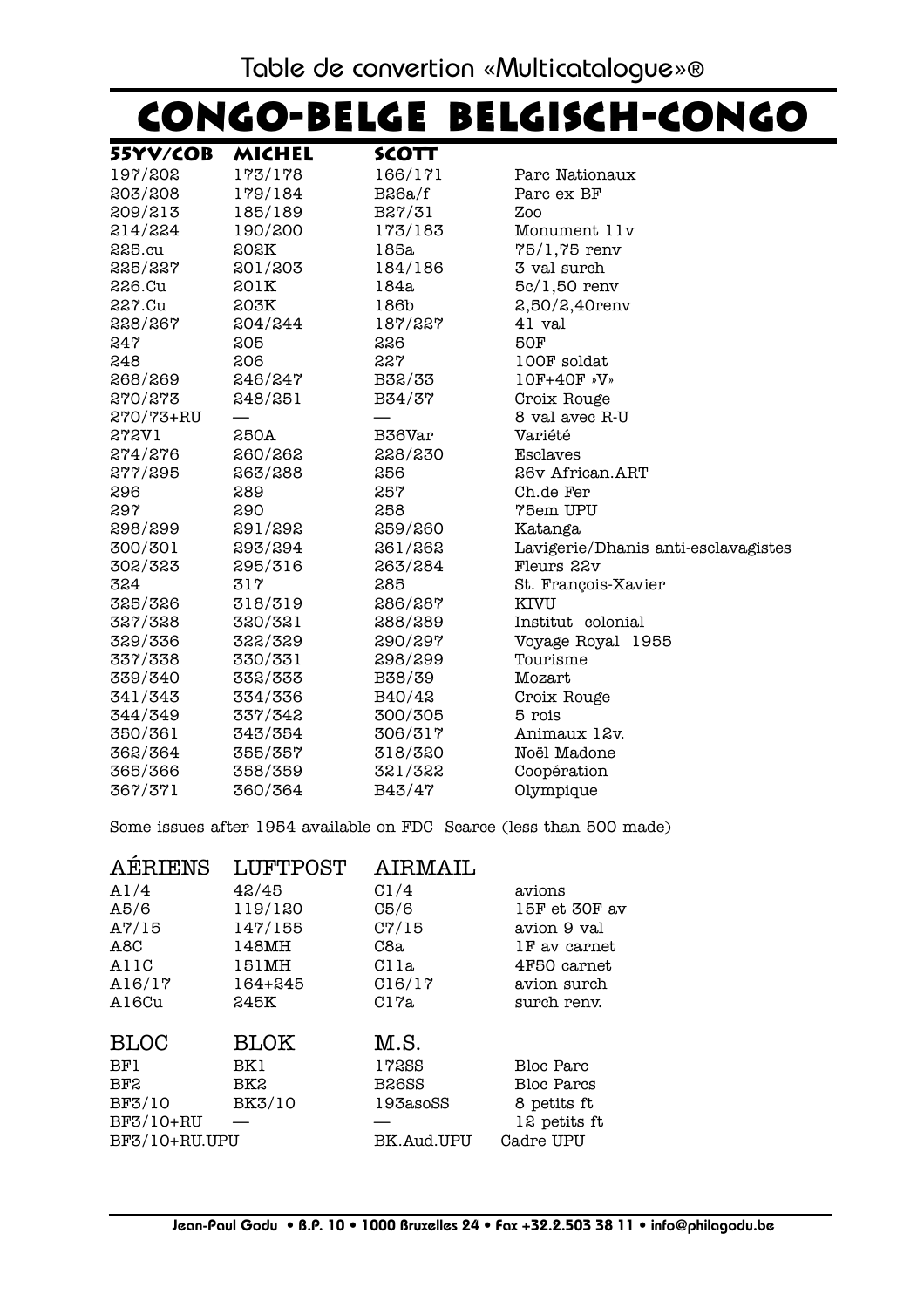# **Congo-Belge Belgisch-Congo Congo-Belge Belgisch-Congo**

| 55YV/COB  | MICHEL  | <b>SCOTT</b> |                                     |
|-----------|---------|--------------|-------------------------------------|
| 197/202   | 173/178 | 166/171      | Parc Nationaux                      |
| 203/208   | 179/184 | $B$ 26a/f    | Parc ex BF                          |
| 209/213   | 185/189 | B27/31       | Zoo                                 |
| 214/224   | 190/200 | 173/183      | Monument 11v                        |
| $225$ .cu | 202K    | 185a         | $75/1,75$ renv                      |
| 225/227   | 201/203 | 184/186      | 3 val surch                         |
| 226.Cu    | 201K    | 184a         | $5c/1,50$ renv                      |
| 227.Cu    | 203K    | 186b         | $2,50/2,40$ renv                    |
| 228/267   | 204/244 | 187/227      | 41 val                              |
| 247       | 205     | 226          | <b>50F</b>                          |
| 248       | 206     | 227          | 100F soldat                         |
| 268/269   | 246/247 | B32/33       | 10F+40F »V»                         |
| 270/273   | 248/251 | B34/37       | Croix Rouge                         |
| 270/73+RU |         |              | 8 val avec R-U                      |
| 272V1     | 250A    | B36Var       | Variété                             |
| 274/276   | 260/262 | 228/230      | Esclaves                            |
| 277/295   | 263/288 | 256          | 26v African.ART                     |
| 296       | 289     | 257          | Ch.de Fer                           |
| 297       | 290     | 258          | 75em UPU                            |
| 298/299   | 291/292 | 259/260      | Katanga                             |
| 300/301   | 293/294 | 261/262      | Lavigerie/Dhanis anti-esclavagistes |
| 302/323   | 295/316 | 263/284      | Fleurs 22v                          |
| 324       | 317     | 285          | St. François-Xavier                 |
| 325/326   | 318/319 | 286/287      | KIVU                                |
| 327/328   | 320/321 | 288/289      | Institut colonial                   |
| 329/336   | 322/329 | 290/297      | Voyage Royal 1955                   |
| 337/338   | 330/331 | 298/299      | Tourisme                            |
| 339/340   | 332/333 | B38/39       | Mozart                              |
| 341/343   | 334/336 | B40/42       | Croix Rouge                         |
| 344/349   | 337/342 | 300/305      | 5 rois                              |
| 350/361   | 343/354 | 306/317      | Animaux 12v.                        |
| 362/364   | 355/357 | 318/320      | Noël Madone                         |
| 365/366   | 358/359 | 321/322      | Coopération                         |
| 367/371   | 360/364 | B43/47       | Olympique                           |

Some issues after 1954 available on FDC Scarce (less than 500 made)

| <b>AERIENS</b>  | <b>LUFTPOST</b> | AIRMAIL            |                   |
|-----------------|-----------------|--------------------|-------------------|
| A1/4            | 42/45           | C1/4               | avions            |
| A5/6            | 119/120         | C5/6               | 15F et 30F av     |
| $A\frac{7}{15}$ | 147/155         | C7/15              | avion 9 val       |
| A8C             | 148MH           | C8a                | 1F av carnet      |
| A11C            | 151MH           | Clla               | 4F50 carnet       |
| A16/17          | 164+245         | C16/17             | avion surch       |
| A16Cu           | 245K            | C17a               | surch renv.       |
| <b>BLOC</b>     | <b>BLOK</b>     | M.S.               |                   |
| BF1             | BK1             | 17288              | Bloc Parc         |
| BF2             | BK2             | B <sub>26</sub> SS | <b>Bloc Parcs</b> |
| BF3/10          | BK3/10          | 193asoSS           | 8 petits ft       |
| BF3/10+RU       |                 |                    | 12 petits ft      |
| BF3/10+RU.UPU   |                 | BK.Aud.UPU         | Cadre UPU         |
|                 |                 |                    |                   |